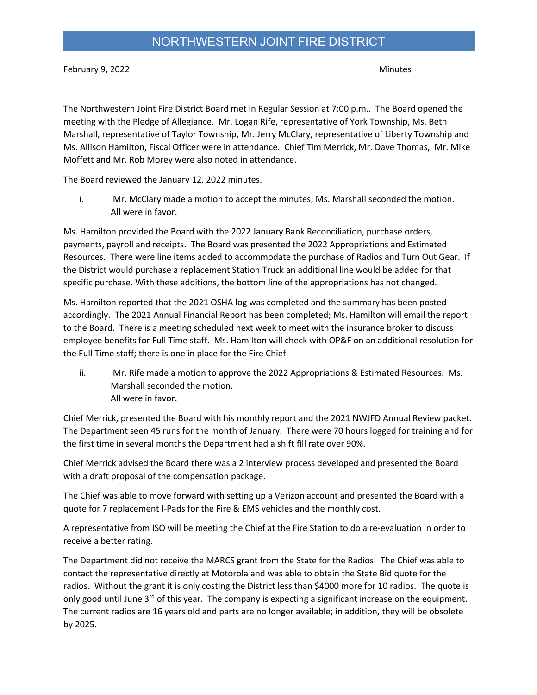February 9, 2022 Minutes

The Northwestern Joint Fire District Board met in Regular Session at 7:00 p.m.. The Board opened the meeting with the Pledge of Allegiance. Mr. Logan Rife, representative of York Township, Ms. Beth Marshall, representative of Taylor Township, Mr. Jerry McClary, representative of Liberty Township and Ms. Allison Hamilton, Fiscal Officer were in attendance. Chief Tim Merrick, Mr. Dave Thomas, Mr. Mike Moffett and Mr. Rob Morey were also noted in attendance.

The Board reviewed the January 12, 2022 minutes.

i. Mr. McClary made a motion to accept the minutes; Ms. Marshall seconded the motion. All were in favor.

Ms. Hamilton provided the Board with the 2022 January Bank Reconciliation, purchase orders, payments, payroll and receipts. The Board was presented the 2022 Appropriations and Estimated Resources. There were line items added to accommodate the purchase of Radios and Turn Out Gear. If the District would purchase a replacement Station Truck an additional line would be added for that specific purchase. With these additions, the bottom line of the appropriations has not changed.

Ms. Hamilton reported that the 2021 OSHA log was completed and the summary has been posted accordingly. The 2021 Annual Financial Report has been completed; Ms. Hamilton will email the report to the Board. There is a meeting scheduled next week to meet with the insurance broker to discuss employee benefits for Full Time staff. Ms. Hamilton will check with OP&F on an additional resolution for the Full Time staff; there is one in place for the Fire Chief.

ii. Mr. Rife made a motion to approve the 2022 Appropriations & Estimated Resources. Ms. Marshall seconded the motion. All were in favor.

Chief Merrick, presented the Board with his monthly report and the 2021 NWJFD Annual Review packet. The Department seen 45 runs for the month of January. There were 70 hours logged for training and for the first time in several months the Department had a shift fill rate over 90%.

Chief Merrick advised the Board there was a 2 interview process developed and presented the Board with a draft proposal of the compensation package.

The Chief was able to move forward with setting up a Verizon account and presented the Board with a quote for 7 replacement I-Pads for the Fire & EMS vehicles and the monthly cost.

A representative from ISO will be meeting the Chief at the Fire Station to do a re-evaluation in order to receive a better rating.

The Department did not receive the MARCS grant from the State for the Radios. The Chief was able to contact the representative directly at Motorola and was able to obtain the State Bid quote for the radios. Without the grant it is only costing the District less than \$4000 more for 10 radios. The quote is only good until June  $3^{rd}$  of this year. The company is expecting a significant increase on the equipment. The current radios are 16 years old and parts are no longer available; in addition, they will be obsolete by 2025.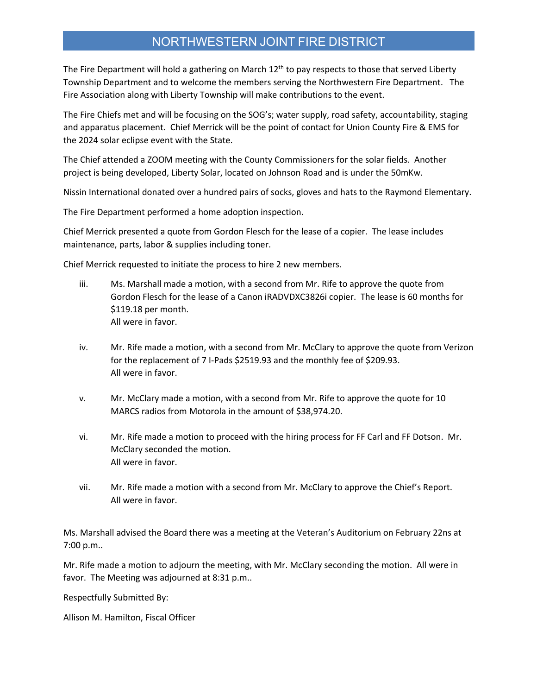## NORTHWESTERN JOINT FIRE DISTRICT

The Fire Department will hold a gathering on March 12<sup>th</sup> to pay respects to those that served Liberty Township Department and to welcome the members serving the Northwestern Fire Department. The Fire Association along with Liberty Township will make contributions to the event.

The Fire Chiefs met and will be focusing on the SOG's; water supply, road safety, accountability, staging and apparatus placement. Chief Merrick will be the point of contact for Union County Fire & EMS for the 2024 solar eclipse event with the State.

The Chief attended a ZOOM meeting with the County Commissioners for the solar fields. Another project is being developed, Liberty Solar, located on Johnson Road and is under the 50mKw.

Nissin International donated over a hundred pairs of socks, gloves and hats to the Raymond Elementary.

The Fire Department performed a home adoption inspection.

Chief Merrick presented a quote from Gordon Flesch for the lease of a copier. The lease includes maintenance, parts, labor & supplies including toner.

Chief Merrick requested to initiate the process to hire 2 new members.

- iii. Ms. Marshall made a motion, with a second from Mr. Rife to approve the quote from Gordon Flesch for the lease of a Canon iRADVDXC3826i copier. The lease is 60 months for \$119.18 per month. All were in favor.
- iv. Mr. Rife made a motion, with a second from Mr. McClary to approve the quote from Verizon for the replacement of 7 I-Pads \$2519.93 and the monthly fee of \$209.93. All were in favor.
- v. Mr. McClary made a motion, with a second from Mr. Rife to approve the quote for 10 MARCS radios from Motorola in the amount of \$38,974.20.
- vi. Mr. Rife made a motion to proceed with the hiring process for FF Carl and FF Dotson. Mr. McClary seconded the motion. All were in favor.
- vii. Mr. Rife made a motion with a second from Mr. McClary to approve the Chief's Report. All were in favor.

Ms. Marshall advised the Board there was a meeting at the Veteran's Auditorium on February 22ns at 7:00 p.m..

Mr. Rife made a motion to adjourn the meeting, with Mr. McClary seconding the motion. All were in favor. The Meeting was adjourned at 8:31 p.m..

Respectfully Submitted By:

Allison M. Hamilton, Fiscal Officer